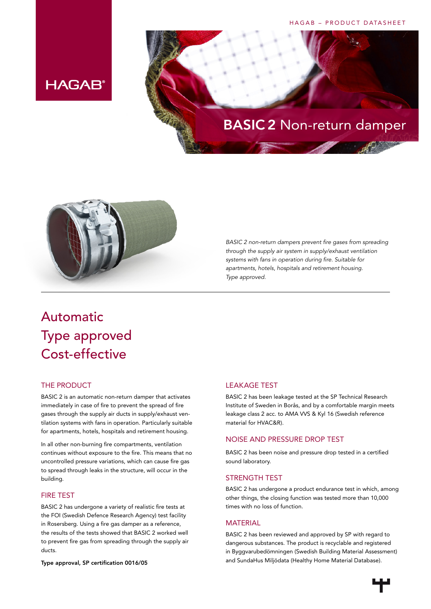#### HAGAB – PRODUCT DATASHEET





*BASIC 2 non-return dampers prevent fire gases from spreading through the supply air system in supply/exhaust ventilation systems with fans in operation during fire. Suitable for apartments, hotels, hospitals and retirement housing. Type approved.*

# Automatic Type approved Cost-effective

**HAGAB®** 

## THE PRODUCT

BASIC 2 is an automatic non-return damper that activates immediately in case of fire to prevent the spread of fire gases through the supply air ducts in supply/exhaust ventilation systems with fans in operation. Particularly suitable for apartments, hotels, hospitals and retirement housing.

In all other non-burning fire compartments, ventilation continues without exposure to the fire. This means that no uncontrolled pressure variations, which can cause fire gas to spread through leaks in the structure, will occur in the building.

# FIRE TEST

BASIC 2 has undergone a variety of realistic fire tests at the FOI (Swedish Defence Research Agency) test facility in Rosersberg. Using a fire gas damper as a reference, the results of the tests showed that BASIC 2 worked well to prevent fire gas from spreading through the supply air ducts.

Type approval, SP certification 0016/05

# LEAKAGE TEST

BASIC 2 has been leakage tested at the SP Technical Research Institute of Sweden in Borås, and by a comfortable margin meets leakage class 2 acc. to AMA VVS & Kyl 16 (Swedish reference material for HVAC&R).

#### NOISE AND PRESSURE DROP TEST

BASIC 2 has been noise and pressure drop tested in a certified sound laboratory.

#### STRENGTH TEST

BASIC 2 has undergone a product endurance test in which, among other things, the closing function was tested more than 10,000 times with no loss of function.

#### MATERIAL

BASIC 2 has been reviewed and approved by SP with regard to dangerous substances. The product is recyclable and registered in Byggvarubedömningen (Swedish Building Material Assessment) and SundaHus Miljödata (Healthy Home Material Database).